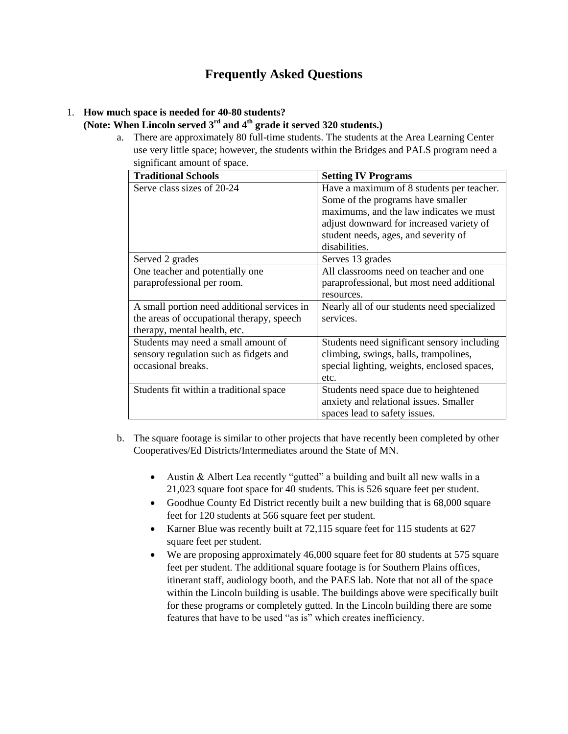# **Frequently Asked Questions**

# 1. **How much space is needed for 40-80 students?**

**(Note: When Lincoln served 3rd and 4th grade it served 320 students.)**

a. There are approximately 80 full-time students. The students at the Area Learning Center use very little space; however, the students within the Bridges and PALS program need a significant amount of space.

| <b>Traditional Schools</b>                  | <b>Setting IV Programs</b>                  |  |  |  |  |
|---------------------------------------------|---------------------------------------------|--|--|--|--|
| Serve class sizes of 20-24                  | Have a maximum of 8 students per teacher.   |  |  |  |  |
|                                             | Some of the programs have smaller           |  |  |  |  |
|                                             | maximums, and the law indicates we must     |  |  |  |  |
|                                             | adjust downward for increased variety of    |  |  |  |  |
|                                             | student needs, ages, and severity of        |  |  |  |  |
|                                             | disabilities.                               |  |  |  |  |
| Served 2 grades                             | Serves 13 grades                            |  |  |  |  |
| One teacher and potentially one             | All classrooms need on teacher and one      |  |  |  |  |
| paraprofessional per room.                  | paraprofessional, but most need additional  |  |  |  |  |
|                                             | resources.                                  |  |  |  |  |
| A small portion need additional services in | Nearly all of our students need specialized |  |  |  |  |
| the areas of occupational therapy, speech   | services.                                   |  |  |  |  |
| therapy, mental health, etc.                |                                             |  |  |  |  |
| Students may need a small amount of         | Students need significant sensory including |  |  |  |  |
| sensory regulation such as fidgets and      | climbing, swings, balls, trampolines,       |  |  |  |  |
| occasional breaks.                          | special lighting, weights, enclosed spaces, |  |  |  |  |
|                                             | etc.                                        |  |  |  |  |
| Students fit within a traditional space     | Students need space due to heightened       |  |  |  |  |
|                                             | anxiety and relational issues. Smaller      |  |  |  |  |
|                                             | spaces lead to safety issues.               |  |  |  |  |

b. The square footage is similar to other projects that have recently been completed by other Cooperatives/Ed Districts/Intermediates around the State of MN.

- Austin & Albert Lea recently "gutted" a building and built all new walls in a 21,023 square foot space for 40 students. This is 526 square feet per student.
- Goodhue County Ed District recently built a new building that is 68,000 square feet for 120 students at 566 square feet per student.
- Karner Blue was recently built at 72,115 square feet for 115 students at 627 square feet per student.
- We are proposing approximately 46,000 square feet for 80 students at 575 square feet per student. The additional square footage is for Southern Plains offices, itinerant staff, audiology booth, and the PAES lab. Note that not all of the space within the Lincoln building is usable. The buildings above were specifically built for these programs or completely gutted. In the Lincoln building there are some features that have to be used "as is" which creates inefficiency.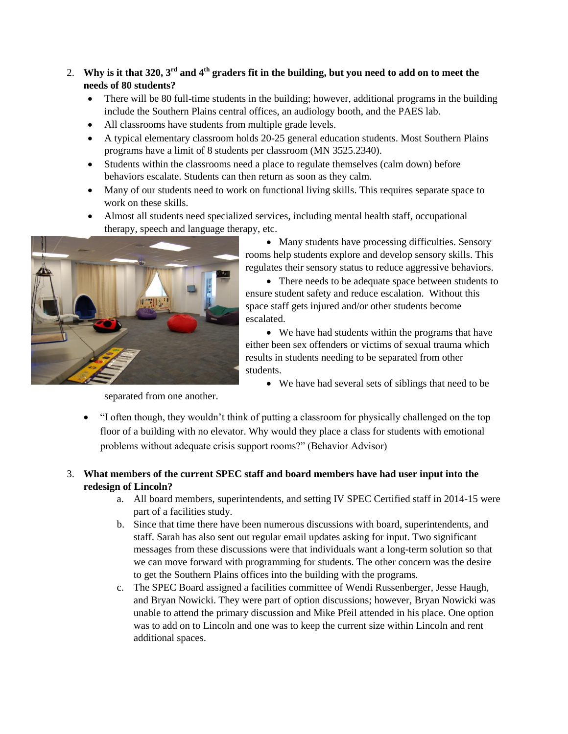- 2. **Why is it that 320, 3 rd and 4th graders fit in the building, but you need to add on to meet the needs of 80 students?**
	- There will be 80 full-time students in the building; however, additional programs in the building include the Southern Plains central offices, an audiology booth, and the PAES lab.
	- All classrooms have students from multiple grade levels.
	- A typical elementary classroom holds 20-25 general education students. Most Southern Plains programs have a limit of 8 students per classroom (MN 3525.2340).
	- Students within the classrooms need a place to regulate themselves (calm down) before behaviors escalate. Students can then return as soon as they calm.
	- Many of our students need to work on functional living skills. This requires separate space to work on these skills.
	- Almost all students need specialized services, including mental health staff, occupational therapy, speech and language therapy, etc.



• Many students have processing difficulties. Sensory rooms help students explore and develop sensory skills. This regulates their sensory status to reduce aggressive behaviors.

• There needs to be adequate space between students to ensure student safety and reduce escalation. Without this space staff gets injured and/or other students become escalated.

 We have had students within the programs that have either been sex offenders or victims of sexual trauma which results in students needing to be separated from other students.

We have had several sets of siblings that need to be

separated from one another.

 "I often though, they wouldn't think of putting a classroom for physically challenged on the top floor of a building with no elevator. Why would they place a class for students with emotional problems without adequate crisis support rooms?" (Behavior Advisor)

# 3. **What members of the current SPEC staff and board members have had user input into the redesign of Lincoln?**

- a. All board members, superintendents, and setting IV SPEC Certified staff in 2014-15 were part of a facilities study.
- b. Since that time there have been numerous discussions with board, superintendents, and staff. Sarah has also sent out regular email updates asking for input. Two significant messages from these discussions were that individuals want a long-term solution so that we can move forward with programming for students. The other concern was the desire to get the Southern Plains offices into the building with the programs.
- c. The SPEC Board assigned a facilities committee of Wendi Russenberger, Jesse Haugh, and Bryan Nowicki. They were part of option discussions; however, Bryan Nowicki was unable to attend the primary discussion and Mike Pfeil attended in his place. One option was to add on to Lincoln and one was to keep the current size within Lincoln and rent additional spaces.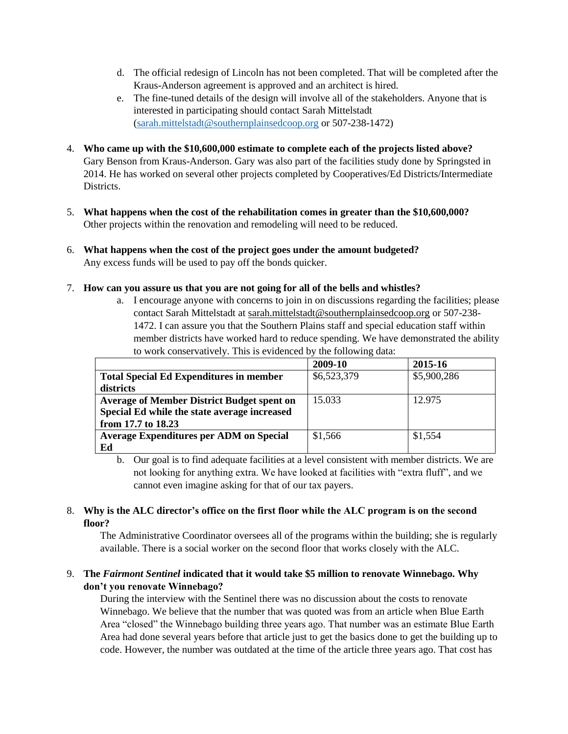- d. The official redesign of Lincoln has not been completed. That will be completed after the Kraus-Anderson agreement is approved and an architect is hired.
- e. The fine-tuned details of the design will involve all of the stakeholders. Anyone that is interested in participating should contact Sarah Mittelstadt [\(sarah.mittelstadt@southernplainsedcoop.org](mailto:sarah.mittelstadt@southernplainsedcoop.org) or 507-238-1472)
- 4. **Who came up with the \$10,600,000 estimate to complete each of the projects listed above?** Gary Benson from Kraus-Anderson. Gary was also part of the facilities study done by Springsted in 2014. He has worked on several other projects completed by Cooperatives/Ed Districts/Intermediate Districts.
- 5. **What happens when the cost of the rehabilitation comes in greater than the \$10,600,000?** Other projects within the renovation and remodeling will need to be reduced.
- 6. **What happens when the cost of the project goes under the amount budgeted?** Any excess funds will be used to pay off the bonds quicker.

# 7. **How can you assure us that you are not going for all of the bells and whistles?**

a. I encourage anyone with concerns to join in on discussions regarding the facilities; please contact Sarah Mittelstadt at [sarah.mittelstadt@southernplainsedcoop.org](mailto:sarah.mittelstadt@southernplainsedcoop.org) or 507-238- 1472. I can assure you that the Southern Plains staff and special education staff within member districts have worked hard to reduce spending. We have demonstrated the ability to work conservatively. This is evidenced by the following data:

|                                                   | 2009-10     | 2015-16     |
|---------------------------------------------------|-------------|-------------|
| <b>Total Special Ed Expenditures in member</b>    | \$6,523,379 | \$5,900,286 |
| districts                                         |             |             |
| <b>Average of Member District Budget spent on</b> | 15.033      | 12.975      |
| Special Ed while the state average increased      |             |             |
| from 17.7 to 18.23                                |             |             |
| <b>Average Expenditures per ADM on Special</b>    | \$1,566     | \$1,554     |
| Ed                                                |             |             |

b. Our goal is to find adequate facilities at a level consistent with member districts. We are not looking for anything extra. We have looked at facilities with "extra fluff", and we cannot even imagine asking for that of our tax payers.

# 8. **Why is the ALC director's office on the first floor while the ALC program is on the second floor?**

The Administrative Coordinator oversees all of the programs within the building; she is regularly available. There is a social worker on the second floor that works closely with the ALC.

# 9. **The** *Fairmont Sentinel* **indicated that it would take \$5 million to renovate Winnebago. Why don't you renovate Winnebago?**

During the interview with the Sentinel there was no discussion about the costs to renovate Winnebago. We believe that the number that was quoted was from an article when Blue Earth Area "closed" the Winnebago building three years ago. That number was an estimate Blue Earth Area had done several years before that article just to get the basics done to get the building up to code. However, the number was outdated at the time of the article three years ago. That cost has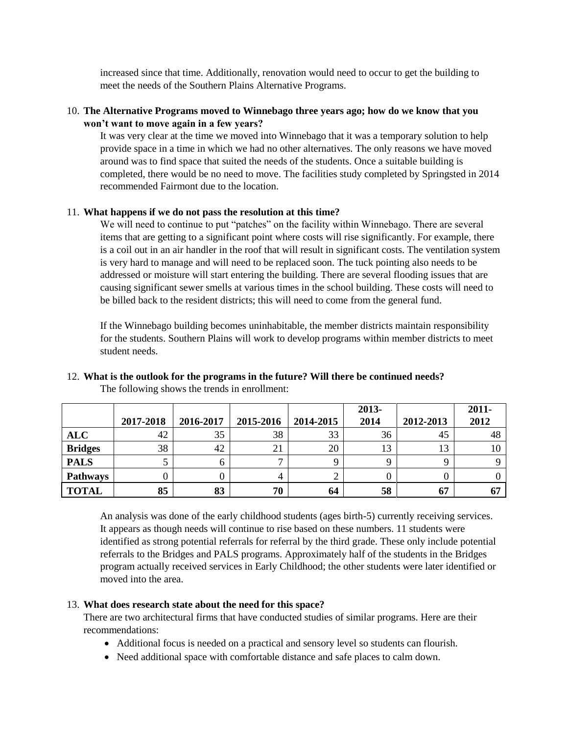increased since that time. Additionally, renovation would need to occur to get the building to meet the needs of the Southern Plains Alternative Programs.

# 10. **The Alternative Programs moved to Winnebago three years ago; how do we know that you won't want to move again in a few years?**

It was very clear at the time we moved into Winnebago that it was a temporary solution to help provide space in a time in which we had no other alternatives. The only reasons we have moved around was to find space that suited the needs of the students. Once a suitable building is completed, there would be no need to move. The facilities study completed by Springsted in 2014 recommended Fairmont due to the location.

#### 11. **What happens if we do not pass the resolution at this time?**

We will need to continue to put "patches" on the facility within Winnebago. There are several items that are getting to a significant point where costs will rise significantly. For example, there is a coil out in an air handler in the roof that will result in significant costs. The ventilation system is very hard to manage and will need to be replaced soon. The tuck pointing also needs to be addressed or moisture will start entering the building. There are several flooding issues that are causing significant sewer smells at various times in the school building. These costs will need to be billed back to the resident districts; this will need to come from the general fund.

If the Winnebago building becomes uninhabitable, the member districts maintain responsibility for the students. Southern Plains will work to develop programs within member districts to meet student needs.

|                 |           |           |           |           | 2013- |           | $2011 -$ |
|-----------------|-----------|-----------|-----------|-----------|-------|-----------|----------|
|                 | 2017-2018 | 2016-2017 | 2015-2016 | 2014-2015 | 2014  | 2012-2013 | 2012     |
| <b>ALC</b>      | 42        | 35        | 38        | 33        | 36    | 45        | 48       |
| <b>Bridges</b>  | 38        | 42        | 21        | 20        | 13    | 13        |          |
| <b>PALS</b>     |           |           |           |           |       |           |          |
| <b>Pathways</b> |           |           |           |           |       |           |          |
| <b>TOTAL</b>    | 85        | 83        | 70        | 64        | 58    | 67        | 67       |

#### 12. **What is the outlook for the programs in the future? Will there be continued needs?**  The following shows the trends in enrollment:

An analysis was done of the early childhood students (ages birth-5) currently receiving services. It appears as though needs will continue to rise based on these numbers. 11 students were identified as strong potential referrals for referral by the third grade. These only include potential referrals to the Bridges and PALS programs. Approximately half of the students in the Bridges program actually received services in Early Childhood; the other students were later identified or moved into the area.

#### 13. **What does research state about the need for this space?**

There are two architectural firms that have conducted studies of similar programs. Here are their recommendations:

- Additional focus is needed on a practical and sensory level so students can flourish.
- Need additional space with comfortable distance and safe places to calm down.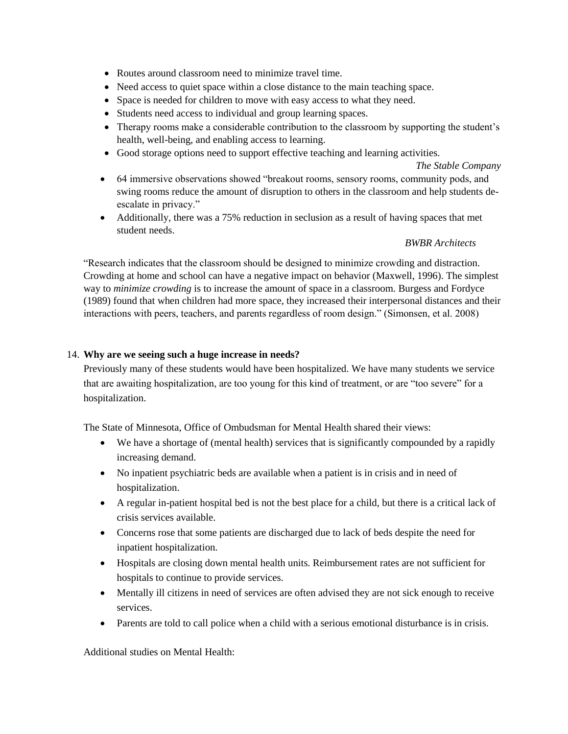- Routes around classroom need to minimize travel time.
- Need access to quiet space within a close distance to the main teaching space.
- Space is needed for children to move with easy access to what they need.
- Students need access to individual and group learning spaces.
- Therapy rooms make a considerable contribution to the classroom by supporting the student's health, well-being, and enabling access to learning.
- Good storage options need to support effective teaching and learning activities.

*The Stable Company*

- 64 immersive observations showed "breakout rooms, sensory rooms, community pods, and swing rooms reduce the amount of disruption to others in the classroom and help students deescalate in privacy."
- Additionally, there was a 75% reduction in seclusion as a result of having spaces that met student needs.

#### *BWBR Architects*

"Research indicates that the classroom should be designed to minimize crowding and distraction. Crowding at home and school can have a negative impact on behavior (Maxwell, 1996). The simplest way to *minimize crowding* is to increase the amount of space in a classroom. Burgess and Fordyce (1989) found that when children had more space, they increased their interpersonal distances and their interactions with peers, teachers, and parents regardless of room design." (Simonsen, et al. 2008)

# 14. **Why are we seeing such a huge increase in needs?**

Previously many of these students would have been hospitalized. We have many students we service that are awaiting hospitalization, are too young for this kind of treatment, or are "too severe" for a hospitalization.

The State of Minnesota, Office of Ombudsman for Mental Health shared their views:

- We have a shortage of (mental health) services that is significantly compounded by a rapidly increasing demand.
- No inpatient psychiatric beds are available when a patient is in crisis and in need of hospitalization.
- A regular in-patient hospital bed is not the best place for a child, but there is a critical lack of crisis services available.
- Concerns rose that some patients are discharged due to lack of beds despite the need for inpatient hospitalization.
- Hospitals are closing down mental health units. Reimbursement rates are not sufficient for hospitals to continue to provide services.
- Mentally ill citizens in need of services are often advised they are not sick enough to receive services.
- Parents are told to call police when a child with a serious emotional disturbance is in crisis.

Additional studies on Mental Health: